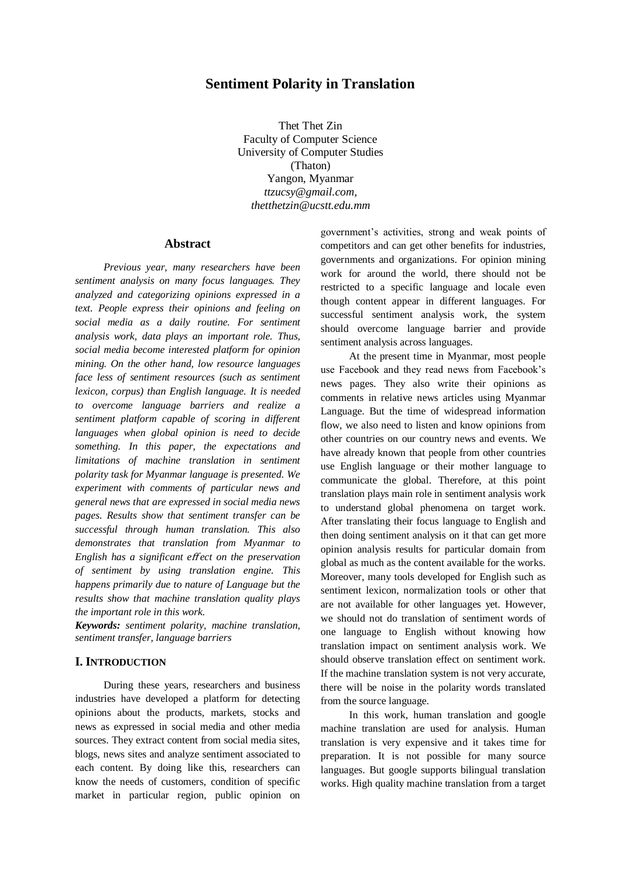# **Sentiment Polarity in Translation**

Thet Thet Zin Faculty of Computer Science University of Computer Studies (Thaton) Yangon, Myanmar *[ttzucsy@gmail.com,](mailto:ttzucsy@gmail.com) [thetthetzin@ucstt.edu.mm](mailto:thetthetzin@ucstt.edu.mm)*

### **Abstract**

*Previous year, many researchers have been sentiment analysis on many focus languages. They analyzed and categorizing opinions expressed in a text. People express their opinions and feeling on social media as a daily routine. For sentiment analysis work, data plays an important role. Thus, social media become interested platform for opinion mining. On the other hand, low resource languages face less of sentiment resources (such as sentiment lexicon, corpus) than English language. It is needed to overcome language barriers and realize a sentiment platform capable of scoring in different languages when global opinion is need to decide something. In this paper, the expectations and limitations of machine translation in sentiment polarity task for Myanmar language is presented. We experiment with comments of particular news and general news that are expressed in social media news pages. Results show that sentiment transfer can be successful through human translation. This also demonstrates that translation from Myanmar to English has a significant effect on the preservation of sentiment by using translation engine. This happens primarily due to nature of Language but the results show that machine translation quality plays the important role in this work.*

*Keywords: sentiment polarity, machine translation, sentiment transfer, language barriers*

#### **I. INTRODUCTION**

During these years, researchers and business industries have developed a platform for detecting opinions about the products, markets, stocks and news as expressed in social media and other media sources. They extract content from social media sites, blogs, news sites and analyze sentiment associated to each content. By doing like this, researchers can know the needs of customers, condition of specific market in particular region, public opinion on

government's activities, strong and weak points of competitors and can get other benefits for industries, governments and organizations. For opinion mining work for around the world, there should not be restricted to a specific language and locale even though content appear in different languages. For successful sentiment analysis work, the system should overcome language barrier and provide sentiment analysis across languages.

At the present time in Myanmar, most people use Facebook and they read news from Facebook's news pages. They also write their opinions as comments in relative news articles using Myanmar Language. But the time of widespread information flow, we also need to listen and know opinions from other countries on our country news and events. We have already known that people from other countries use English language or their mother language to communicate the global. Therefore, at this point translation plays main role in sentiment analysis work to understand global phenomena on target work. After translating their focus language to English and then doing sentiment analysis on it that can get more opinion analysis results for particular domain from global as much as the content available for the works. Moreover, many tools developed for English such as sentiment lexicon, normalization tools or other that are not available for other languages yet. However, we should not do translation of sentiment words of one language to English without knowing how translation impact on sentiment analysis work. We should observe translation effect on sentiment work. If the machine translation system is not very accurate, there will be noise in the polarity words translated from the source language.

In this work, human translation and google machine translation are used for analysis. Human translation is very expensive and it takes time for preparation. It is not possible for many source languages. But google supports bilingual translation works. High quality machine translation from a target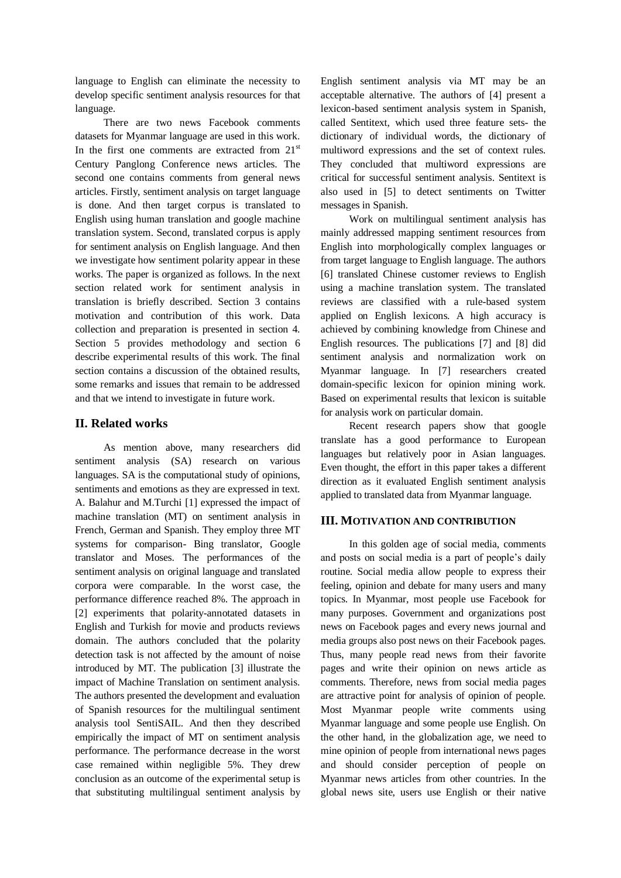language to English can eliminate the necessity to develop specific sentiment analysis resources for that language.

There are two news Facebook comments datasets for Myanmar language are used in this work. In the first one comments are extracted from  $21<sup>st</sup>$ Century Panglong Conference news articles. The second one contains comments from general news articles. Firstly, sentiment analysis on target language is done. And then target corpus is translated to English using human translation and google machine translation system. Second, translated corpus is apply for sentiment analysis on English language. And then we investigate how sentiment polarity appear in these works. The paper is organized as follows. In the next section related work for sentiment analysis in translation is briefly described. Section 3 contains motivation and contribution of this work. Data collection and preparation is presented in section 4. Section 5 provides methodology and section 6 describe experimental results of this work. The final section contains a discussion of the obtained results, some remarks and issues that remain to be addressed and that we intend to investigate in future work.

## **II. Related works**

As mention above, many researchers did sentiment analysis (SA) research on various languages. SA is the computational study of opinions, sentiments and emotions as they are expressed in text. A. Balahur and M.Turchi [1] expressed the impact of machine translation (MT) on sentiment analysis in French, German and Spanish. They employ three MT systems for comparison- Bing translator, Google translator and Moses. The performances of the sentiment analysis on original language and translated corpora were comparable. In the worst case, the performance difference reached 8%. The approach in [2] experiments that polarity-annotated datasets in English and Turkish for movie and products reviews domain. The authors concluded that the polarity detection task is not affected by the amount of noise introduced by MT. The publication [3] illustrate the impact of Machine Translation on sentiment analysis. The authors presented the development and evaluation of Spanish resources for the multilingual sentiment analysis tool SentiSAIL. And then they described empirically the impact of MT on sentiment analysis performance. The performance decrease in the worst case remained within negligible 5%. They drew conclusion as an outcome of the experimental setup is that substituting multilingual sentiment analysis by

English sentiment analysis via MT may be an acceptable alternative. The authors of [4] present a lexicon-based sentiment analysis system in Spanish, called Sentitext, which used three feature sets- the dictionary of individual words, the dictionary of multiword expressions and the set of context rules. They concluded that multiword expressions are critical for successful sentiment analysis. Sentitext is also used in [5] to detect sentiments on Twitter messages in Spanish.

Work on multilingual sentiment analysis has mainly addressed mapping sentiment resources from English into morphologically complex languages or from target language to English language. The authors [6] translated Chinese customer reviews to English using a machine translation system. The translated reviews are classified with a rule-based system applied on English lexicons. A high accuracy is achieved by combining knowledge from Chinese and English resources. The publications [7] and [8] did sentiment analysis and normalization work on Myanmar language. In [7] researchers created domain-specific lexicon for opinion mining work. Based on experimental results that lexicon is suitable for analysis work on particular domain.

Recent research papers show that google translate has a good performance to European languages but relatively poor in Asian languages. Even thought, the effort in this paper takes a different direction as it evaluated English sentiment analysis applied to translated data from Myanmar language.

## **III. MOTIVATION AND CONTRIBUTION**

In this golden age of social media, comments and posts on social media is a part of people's daily routine. Social media allow people to express their feeling, opinion and debate for many users and many topics. In Myanmar, most people use Facebook for many purposes. Government and organizations post news on Facebook pages and every news journal and media groups also post news on their Facebook pages. Thus, many people read news from their favorite pages and write their opinion on news article as comments. Therefore, news from social media pages are attractive point for analysis of opinion of people. Most Myanmar people write comments using Myanmar language and some people use English. On the other hand, in the globalization age, we need to mine opinion of people from international news pages and should consider perception of people on Myanmar news articles from other countries. In the global news site, users use English or their native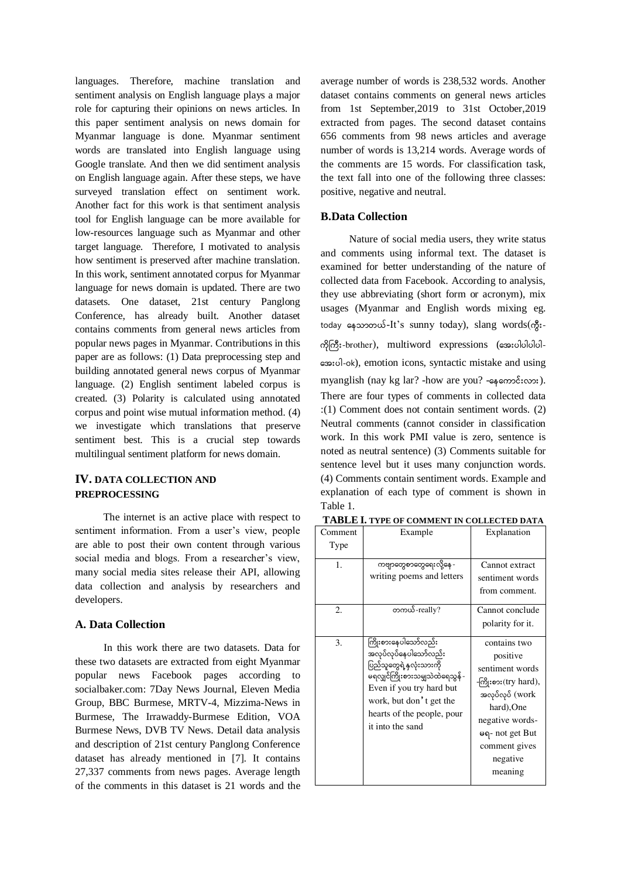languages. Therefore, machine translation and sentiment analysis on English language plays a major role for capturing their opinions on news articles. In this paper sentiment analysis on news domain for Myanmar language is done. Myanmar sentiment words are translated into English language using Google translate. And then we did sentiment analysis on English language again. After these steps, we have surveyed translation effect on sentiment work. Another fact for this work is that sentiment analysis tool for English language can be more available for low-resources language such as Myanmar and other target language. Therefore, I motivated to analysis how sentiment is preserved after machine translation. In this work, sentiment annotated corpus for Myanmar language for news domain is updated. There are two datasets. One dataset, 21st century Panglong Conference, has already built. Another dataset contains comments from general news articles from popular news pages in Myanmar. Contributions in this paper are as follows: (1) Data preprocessing step and building annotated general news corpus of Myanmar language. (2) English sentiment labeled corpus is created. (3) Polarity is calculated using annotated corpus and point wise mutual information method. (4) we investigate which translations that preserve sentiment best. This is a crucial step towards multilingual sentiment platform for news domain.

# **IV. DATA COLLECTION AND PREPROCESSING**

The internet is an active place with respect to sentiment information. From a user's view, people are able to post their own content through various social media and blogs. From a researcher's view, many social media sites release their API, allowing data collection and analysis by researchers and developers.

## **A. Data Collection**

In this work there are two datasets. Data for these two datasets are extracted from eight Myanmar popular news Facebook pages according to socialbaker.com: 7Day News Journal, Eleven Media Group, BBC Burmese, MRTV-4, Mizzima-News in Burmese, The Irrawaddy-Burmese Edition, VOA Burmese News, DVB TV News. Detail data analysis and description of 21st century Panglong Conference dataset has already mentioned in [7]. It contains 27,337 comments from news pages. Average length of the comments in this dataset is 21 words and the average number of words is 238,532 words. Another dataset contains comments on general news articles from 1st September,2019 to 31st October,2019 extracted from pages. The second dataset contains 656 comments from 98 news articles and average number of words is 13,214 words. Average words of the comments are 15 words. For classification task, the text fall into one of the following three classes: positive, negative and neutral.

#### **B.Data Collection**

Nature of social media users, they write status and comments using informal text. The dataset is examined for better understanding of the nature of collected data from Facebook. According to analysis, they use abbreviating (short form or acronym), mix usages (Myanmar and English words mixing eg. today နေသာတယ်-It's sunny today), slang words(ကွီး- $\frac{1}{2}$  $\frac{1}{2}$  $\frac{1}{2}$  $\frac{1}{2}$  $\frac{1}{2}$  $\frac{1}{2}$  $\frac{1}{2}$  $\frac{1}{2}$  $\frac{1}{2}$  $\frac{1}{2}$  $\frac{1}{2}$  $\frac{1}{2}$  $\frac{1}{2}$  $\frac{1}{2}$  $\frac{1}{2}$  $\frac{1}{2}$  $\frac{1}{2}$  $\frac{1}{2}$  $\frac{1}{2}$  $\frac{1}{2}$  $\frac{1}{2}$  $\frac{1}{2}$  $\frac{1}{2}$  $\frac{1}{2}$  $\frac{1$  -ok), emotion icons, syntactic mistake and using myanglish (nay kg lar? -how are you? - $\epsilon_{\text{F}}$  - $\epsilon_{\text{F}}$  - $\epsilon_{\text{F}}$ ). There are four types of comments in collected data :(1) Comment does not contain sentiment words. (2) Neutral comments (cannot consider in classification work. In this work PMI value is zero, sentence is noted as neutral sentence) (3) Comments suitable for sentence level but it uses many conjunction words. (4) Comments contain sentiment words. Example and explanation of each type of comment is shown in Table 1.

| Comment<br>Type | Example                                                                                                                                                                                                               | Explanation                                                                                                                                                                        |
|-----------------|-----------------------------------------------------------------------------------------------------------------------------------------------------------------------------------------------------------------------|------------------------------------------------------------------------------------------------------------------------------------------------------------------------------------|
| 1.              | ကဗျာတွေစာတွေရေးလို့နေ -<br>writing poems and letters                                                                                                                                                                  | Cannot extract<br>sentiment words<br>from comment.                                                                                                                                 |
| 2.              | တကယ်-really?                                                                                                                                                                                                          | Cannot conclude<br>polarity for it.                                                                                                                                                |
| 3.              | ကြိုးစားနေပါသော်လည်း<br>အလုပ်လုပ်နေပါသော်လည်း<br>ပြည်သူတွေရဲ့နှလုံးသားကို<br>မရလျှင်ကြိုးစားသမျှသဲထဲရေသွန် -<br>Even if you try hard but<br>work, but don't get the<br>hearts of the people, pour<br>it into the sand | contains two<br>positive<br>sentiment words<br>-ကြိုးစား(try hard),<br>အလုပ်လုပ် (work<br>hard), One<br>negative words-<br>မရ- not get But<br>comment gives<br>negative<br>meaning |

**TABLE I. TYPE OF COMMENT IN COLLECTED DATA**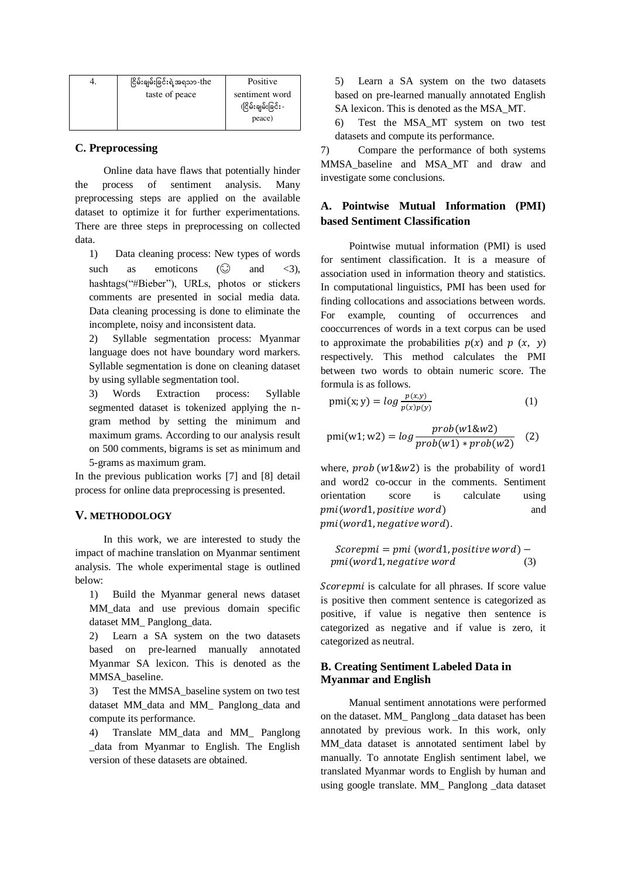| ငြိမ်းချမ်းခြင်းရဲ့အရသာ-the | Positive           |
|-----------------------------|--------------------|
| taste of peace              | sentiment word     |
|                             | (ငြိမ်းချမ်းခြင်း- |
|                             | peace)             |

#### **C. Preprocessing**

Online data have flaws that potentially hinder the process of sentiment analysis. Many preprocessing steps are applied on the available dataset to optimize it for further experimentations. There are three steps in preprocessing on collected data.

1) Data cleaning process: New types of words such as emoticons  $\circ$  and  $\leq$ 3). hashtags("#Bieber"), URLs, photos or stickers comments are presented in social media data. Data cleaning processing is done to eliminate the incomplete, noisy and inconsistent data.

2) Syllable segmentation process: Myanmar language does not have boundary word markers. Syllable segmentation is done on cleaning dataset by using syllable segmentation tool.

3) Words Extraction process: Syllable segmented dataset is tokenized applying the ngram method by setting the minimum and maximum grams. According to our analysis result on 500 comments, bigrams is set as minimum and 5-grams as maximum gram.

In the previous publication works [7] and [8] detail process for online data preprocessing is presented.

### **V. METHODOLOGY**

In this work, we are interested to study the impact of machine translation on Myanmar sentiment analysis. The whole experimental stage is outlined below:

1) Build the Myanmar general news dataset MM\_data and use previous domain specific dataset MM\_ Panglong\_data.

2) Learn a SA system on the two datasets based on pre-learned manually annotated Myanmar SA lexicon. This is denoted as the MMSA\_baseline.

3) Test the MMSA\_baseline system on two test dataset MM\_data and MM\_ Panglong\_data and compute its performance.

4) Translate MM\_data and MM\_ Panglong \_data from Myanmar to English. The English version of these datasets are obtained.

5) Learn a SA system on the two datasets based on pre-learned manually annotated English SA lexicon. This is denoted as the MSA\_MT.

6) Test the MSA\_MT system on two test datasets and compute its performance.

7) Compare the performance of both systems MMSA\_baseline and MSA\_MT and draw and investigate some conclusions.

## **A. Pointwise Mutual Information (PMI) based Sentiment Classification**

Pointwise mutual information (PMI) is used for sentiment classification. It is a measure of association used in information theory and statistics. In computational linguistics, PMI has been used for finding collocations and associations between words. For example, counting of occurrences and cooccurrences of words in a text corpus can be used to approximate the probabilities  $p(x)$  and  $p(x, y)$ respectively. This method calculates the PMI between two words to obtain numeric score. The formula is as follows.

$$
pmi(x; y) = \log \frac{p(x, y)}{p(x)p(y)}\tag{1}
$$

$$
pmi(w1; w2) = log \frac{prob(w1& w2)}{prob(w1) * prob(w2)} \quad (2)
$$

where,  $prob(w1\&w2)$  is the probability of word1 and word2 co-occur in the comments. Sentiment orientation score is calculate using *pmi(word1.positive word)* and pmi(word1, negative word).

$$
Scorepmi = pmi (word1, positive word) - pmi(word1, negative word) \qquad (3)
$$

Scorepmi is calculate for all phrases. If score value is positive then comment sentence is categorized as positive, if value is negative then sentence is categorized as negative and if value is zero, it categorized as neutral.

# **B. Creating Sentiment Labeled Data in Myanmar and English**

Manual sentiment annotations were performed on the dataset. MM\_ Panglong \_data dataset has been annotated by previous work. In this work, only MM\_data dataset is annotated sentiment label by manually. To annotate English sentiment label, we translated Myanmar words to English by human and using google translate. MM\_ Panglong \_data dataset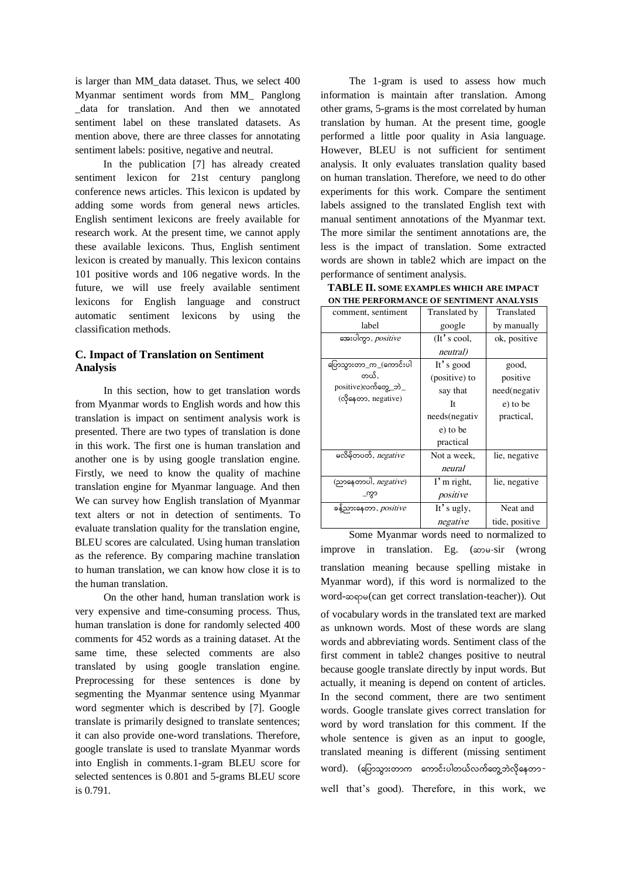is larger than MM\_data dataset. Thus, we select 400 Myanmar sentiment words from MM\_ Panglong \_data for translation. And then we annotated sentiment label on these translated datasets. As mention above, there are three classes for annotating sentiment labels: positive, negative and neutral.

In the publication [7] has already created sentiment lexicon for 21st century panglong conference news articles. This lexicon is updated by adding some words from general news articles. English sentiment lexicons are freely available for research work. At the present time, we cannot apply these available lexicons. Thus, English sentiment lexicon is created by manually. This lexicon contains 101 positive words and 106 negative words. In the future, we will use freely available sentiment lexicons for English language and construct automatic sentiment lexicons by using the classification methods.

### **C. Impact of Translation on Sentiment Analysis**

In this section, how to get translation words from Myanmar words to English words and how this translation is impact on sentiment analysis work is presented. There are two types of translation is done in this work. The first one is human translation and another one is by using google translation engine. Firstly, we need to know the quality of machine translation engine for Myanmar language. And then We can survey how English translation of Myanmar text alters or not in detection of sentiments. To evaluate translation quality for the translation engine, BLEU scores are calculated. Using human translation as the reference. By comparing machine translation to human translation, we can know how close it is to the human translation.

On the other hand, human translation work is very expensive and time-consuming process. Thus, human translation is done for randomly selected 400 comments for 452 words as a training dataset. At the same time, these selected comments are also translated by using google translation engine. Preprocessing for these sentences is done by segmenting the Myanmar sentence using Myanmar word segmenter which is described by [7]. Google translate is primarily designed to translate sentences; it can also provide one-word translations. Therefore, google translate is used to translate Myanmar words into English in comments.1-gram BLEU score for selected sentences is 0.801 and 5-grams BLEU score is 0.791.

The 1-gram is used to assess how much information is maintain after translation. Among other grams, 5-grams is the most correlated by human translation by human. At the present time, google performed a little poor quality in Asia language. However, BLEU is not sufficient for sentiment analysis. It only evaluates translation quality based on human translation. Therefore, we need to do other experiments for this work. Compare the sentiment labels assigned to the translated English text with manual sentiment annotations of the Myanmar text. The more similar the sentiment annotations are, the less is the impact of translation. Some extracted words are shown in table2 which are impact on the performance of sentiment analysis.

| <b>TABLE II. SOME EXAMPLES WHICH ARE IMPACT</b> |
|-------------------------------------------------|
| ON THE PERFORMANCE OF SENTIMENT ANALYSIS        |

| comment, sentiment           | Translated by | Translated     |  |  |  |
|------------------------------|---------------|----------------|--|--|--|
| label                        | google        | by manually    |  |  |  |
| အေးပါကွာ, positive           | (It's cool,   | ok, positive   |  |  |  |
|                              | neutral)      |                |  |  |  |
| ပြောသွားတာ_က_(ကောင်းပါ       | It's good     | good,          |  |  |  |
| တယ်.                         | (positive) to | positive       |  |  |  |
| positive)လက်တွေ့_ဘဲ_         | say that      | need(negativ   |  |  |  |
| (လိုနေတာ, negative)          | Tt.           | e) to be       |  |  |  |
|                              | needs(negativ | practical,     |  |  |  |
|                              | e) to be      |                |  |  |  |
|                              | practical     |                |  |  |  |
| မလိမ့်တပတ်, $negative$       | Not a week,   | lie, negative  |  |  |  |
|                              | neural        |                |  |  |  |
| (ညာနေတာပါ, $negative)$       | I'm right,    | lie, negative  |  |  |  |
| _က္ဂာ                        | positive      |                |  |  |  |
| ခန့်ညားနေတာ, <i>positive</i> | It's ugly,    | Neat and       |  |  |  |
|                              | negative      | tide, positive |  |  |  |

Some Myanmar words need to normalized to improve in translation. Eg.  $(\infty) \rightarrow$ sir (wrong translation meaning because spelling mistake in Myanmar word), if this word is normalized to the word- $\infty$ po(can get correct translation-teacher)). Out of vocabulary words in the translated text are marked as unknown words. Most of these words are slang words and abbreviating words. Sentiment class of the first comment in table2 changes positive to neutral because google translate directly by input words. But actually, it meaning is depend on content of articles. In the second comment, there are two sentiment words. Google translate gives correct translation for word by word translation for this comment. If the whole sentence is given as an input to google, translated meaning is different (missing sentiment word). (ပြောသွားတာက ကောင်းပါတယ်လက်တွေ့ဘဲလိုနေတာwell that's good). Therefore, in this work, we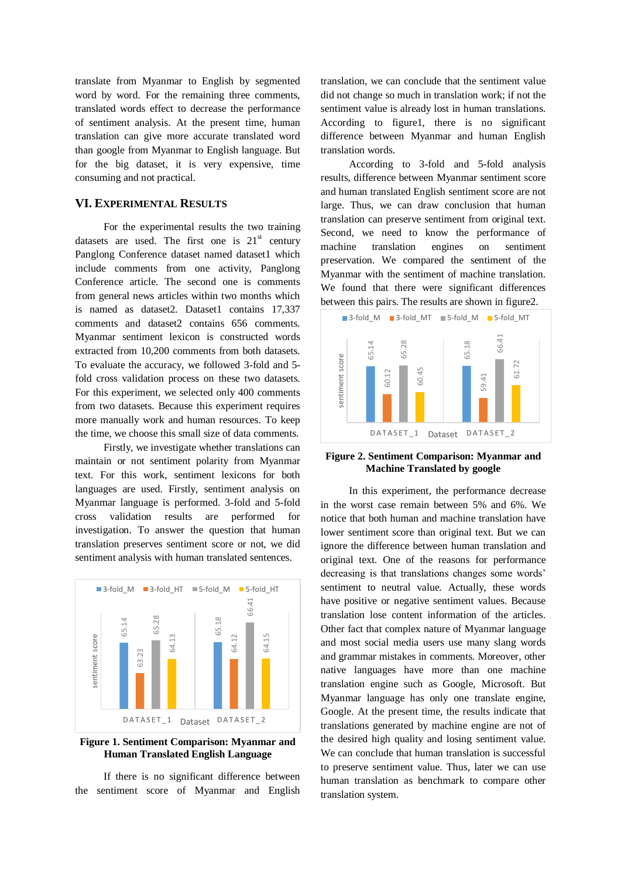translate from Myanmar to English by segmented word by word. For the remaining three comments, translated words effect to decrease the performance of sentiment analysis. At the present time, human translation can give more accurate translated word than google from Myanmar to English language. But for the big dataset, it is very expensive, time consuming and not practical.

### **VI. EXPERIMENTAL RESULTS**

For the experimental results the two training datasets are used. The first one is  $21<sup>st</sup>$  century Panglong Conference dataset named dataset1 which include comments from one activity, Panglong Conference article. The second one is comments from general news articles within two months which is named as dataset2. Dataset1 contains 17,337 comments and dataset2 contains 656 comments. Myanmar sentiment lexicon is constructed words extracted from 10,200 comments from both datasets. To evaluate the accuracy, we followed 3-fold and 5 fold cross validation process on these two datasets. For this experiment, we selected only 400 comments from two datasets. Because this experiment requires more manually work and human resources. To keep the time, we choose this small size of data comments.

Firstly, we investigate whether translations can maintain or not sentiment polarity from Myanmar text. For this work, sentiment lexicons for both languages are used. Firstly, sentiment analysis on Myanmar language is performed. 3-fold and 5-fold cross validation results are performed for investigation. To answer the question that human translation preserves sentiment score or not, we did sentiment analysis with human translated sentences.



#### **Figure 1. Sentiment Comparison: Myanmar and Human Translated English Language**

If there is no significant difference between the sentiment score of Myanmar and English

translation, we can conclude that the sentiment value did not change so much in translation work; if not the sentiment value is already lost in human translations. According to figure1, there is no significant difference between Myanmar and human English translation words.

According to 3-fold and 5-fold analysis results, difference between Myanmar sentiment score and human translated English sentiment score are not large. Thus, we can draw conclusion that human translation can preserve sentiment from original text. Second, we need to know the performance of machine translation engines on sentiment preservation. We compared the sentiment of the Myanmar with the sentiment of machine translation. We found that there were significant differences between this pairs. The results are shown in figure2.



**Figure 2. Sentiment Comparison: Myanmar and Machine Translated by google** 

In this experiment, the performance decrease in the worst case remain between 5% and 6%. We notice that both human and machine translation have lower sentiment score than original text. But we can ignore the difference between human translation and original text. One of the reasons for performance decreasing is that translations changes some words' sentiment to neutral value. Actually, these words have positive or negative sentiment values. Because translation lose content information of the articles. Other fact that complex nature of Myanmar language and most social media users use many slang words and grammar mistakes in comments. Moreover, other native languages have more than one machine translation engine such as Google, Microsoft. But Myanmar language has only one translate engine, Google. At the present time, the results indicate that translations generated by machine engine are not of the desired high quality and losing sentiment value. We can conclude that human translation is successful to preserve sentiment value. Thus, later we can use human translation as benchmark to compare other translation system.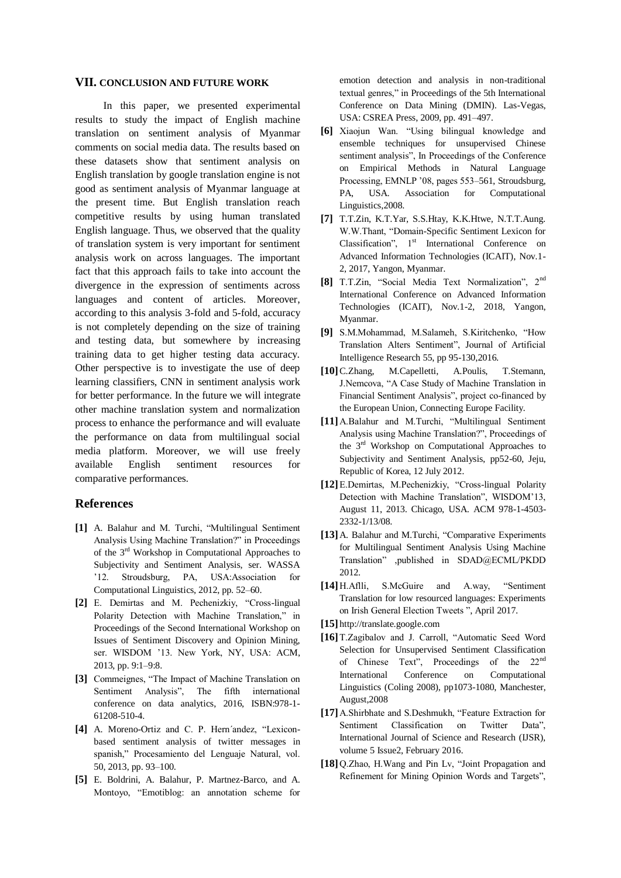#### **VII. CONCLUSION AND FUTURE WORK**

In this paper, we presented experimental results to study the impact of English machine translation on sentiment analysis of Myanmar comments on social media data. The results based on these datasets show that sentiment analysis on English translation by google translation engine is not good as sentiment analysis of Myanmar language at the present time. But English translation reach competitive results by using human translated English language. Thus, we observed that the quality of translation system is very important for sentiment analysis work on across languages. The important fact that this approach fails to take into account the divergence in the expression of sentiments across languages and content of articles. Moreover, according to this analysis 3-fold and 5-fold, accuracy is not completely depending on the size of training and testing data, but somewhere by increasing training data to get higher testing data accuracy. Other perspective is to investigate the use of deep learning classifiers, CNN in sentiment analysis work for better performance. In the future we will integrate other machine translation system and normalization process to enhance the performance and will evaluate the performance on data from multilingual social media platform. Moreover, we will use freely available English sentiment resources for comparative performances.

#### **References**

- **[1]** A. Balahur and M. Turchi, "Multilingual Sentiment Analysis Using Machine Translation?" in Proceedings of the 3rd Workshop in Computational Approaches to Subjectivity and Sentiment Analysis, ser. WASSA '12. Stroudsburg, PA, USA:Association for Computational Linguistics, 2012, pp. 52–60.
- **[2]** E. Demirtas and M. Pechenizkiy, "Cross-lingual Polarity Detection with Machine Translation," in Proceedings of the Second International Workshop on Issues of Sentiment Discovery and Opinion Mining, ser. WISDOM '13. New York, NY, USA: ACM, 2013, pp. 9:1–9:8.
- **[3]** Commeignes, "The Impact of Machine Translation on Sentiment Analysis", The fifth international conference on data analytics, 2016, ISBN:978-1- 61208-510-4.
- **[4]** A. Moreno-Ortiz and C. P. Hern´andez, "Lexiconbased sentiment analysis of twitter messages in spanish," Procesamiento del Lenguaje Natural, vol. 50, 2013, pp. 93–100.
- **[5]** E. Boldrini, A. Balahur, P. Martnez-Barco, and A. Montoyo, "Emotiblog: an annotation scheme for

emotion detection and analysis in non-traditional textual genres," in Proceedings of the 5th International Conference on Data Mining (DMIN). Las-Vegas, USA: CSREA Press, 2009, pp. 491–497.

- **[6]** Xiaojun Wan. "Using bilingual knowledge and ensemble techniques for unsupervised Chinese sentiment analysis", In Proceedings of the Conference on Empirical Methods in Natural Language Processing, EMNLP '08, pages 553–561, Stroudsburg, PA, USA. Association for Computational Linguistics,2008.
- **[7]** T.T.Zin, K.T.Yar, S.S.Htay, K.K.Htwe, N.T.T.Aung. W.W.Thant, "Domain-Specific Sentiment Lexicon for Classification", 1<sup>st</sup> International Conference on Advanced Information Technologies (ICAIT), Nov.1- 2, 2017, Yangon, Myanmar.
- **[8]** T.T.Zin, "Social Media Text Normalization", 2nd International Conference on Advanced Information Technologies (ICAIT), Nov.1-2, 2018, Yangon, Myanmar.
- **[9]** S.M.Mohammad, M.Salameh, S.Kiritchenko, "How Translation Alters Sentiment", Journal of Artificial Intelligence Research 55, pp 95-130,2016.
- **[10]**C.Zhang, M.Capelletti, A.Poulis, T.Stemann, J.Nemcova, "A Case Study of Machine Translation in Financial Sentiment Analysis", project co-financed by the European Union, Connecting Europe Facility.
- **[11]**A.Balahur and M.Turchi, "Multilingual Sentiment Analysis using Machine Translation?", Proceedings of the 3rd Workshop on Computational Approaches to Subjectivity and Sentiment Analysis, pp52-60, Jeju, Republic of Korea, 12 July 2012.
- **[12]**E.Demirtas, M.Pechenizkiy, "Cross-lingual Polarity Detection with Machine Translation", WISDOM'13, August 11, 2013. Chicago, USA. ACM 978-1-4503- 2332-1/13/08.
- **[13]**A. Balahur and M.Turchi, "Comparative Experiments for Multilingual Sentiment Analysis Using Machine Translation" ,published in SDAD@ECML/PKDD 2012.
- **[14]**H.Aflli, S.McGuire and A.way, "Sentiment Translation for low resourced languages: Experiments on Irish General Election Tweets ", April 2017.
- **[15]** [http://translate.google.com](http://translate.google.com/)
- **[16]**T.Zagibalov and J. Carroll, "Automatic Seed Word Selection for Unsupervised Sentiment Classification of Chinese Text", Proceedings of the 22<sup>nd</sup> International Conference on Computational Linguistics (Coling 2008), pp1073-1080, Manchester, August,2008
- **[17]**A.Shirbhate and S.Deshmukh, "Feature Extraction for Sentiment Classification on Twitter Data", International Journal of Science and Research (IJSR), volume 5 Issue2, February 2016.
- **[18]**Q.Zhao, H.Wang and Pin Lv, "Joint Propagation and Refinement for Mining Opinion Words and Targets",